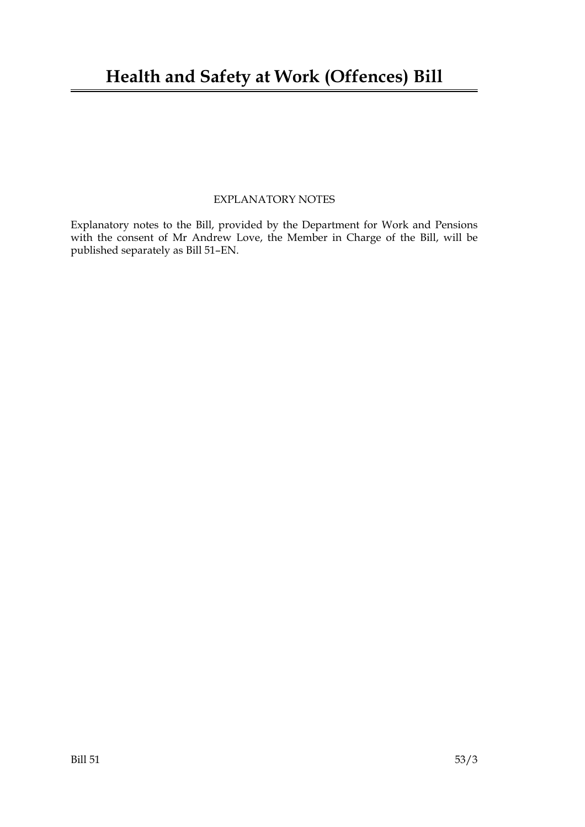# **Health and Safety at Work (Offences) Bill**

## EXPLANATORY NOTES

Explanatory notes to the Bill, provided by the Department for Work and Pensions with the consent of Mr Andrew Love, the Member in Charge of the Bill, will be published separately as Bill 51–EN.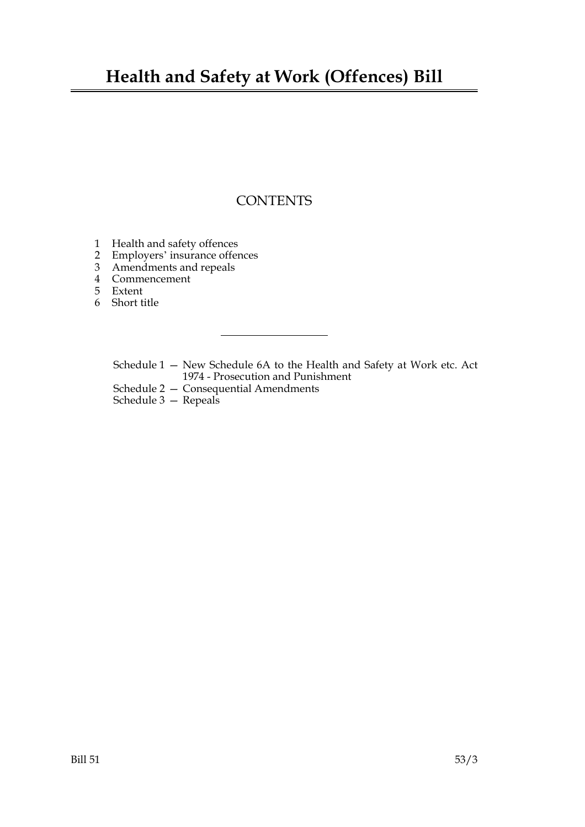# **Health and Safety at Work (Offences) Bill**

# **CONTENTS**

- 1 Health and safety offences
- 2 Employers' insurance offences<br>3 Amendments and repeals
- Amendments and repeals
- 4 Commencement
- 5 Extent
- 6 Short title

Schedule 1 — New Schedule 6A to the Health and Safety at Work etc. Act 1974 - Prosecution and Punishment

- Schedule 2 Consequential Amendments
- Schedule 3 Repeals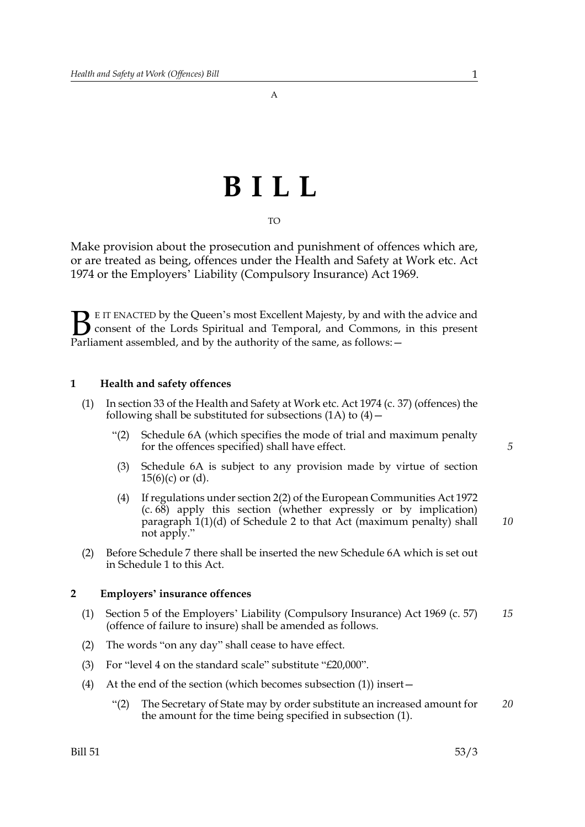# **BILL**

TO

Make provision about the prosecution and punishment of offences which are, or are treated as being, offences under the Health and Safety at Work etc. Act 1974 or the Employers' Liability (Compulsory Insurance) Act 1969.

E IT ENACTED by the Queen's most Excellent Majesty, by and with the advice and consent of the Lords Spiritual and Temporal, and Commons, in this present Parliament assembled, and by the authority of the same, as follows: - $\mathbf{B}_{\text{rel}}$ 

#### **1 Health and safety offences**

- (1) In section 33 of the Health and Safety at Work etc. Act 1974 (c. 37) (offences) the following shall be substituted for subsections  $(1A)$  to  $(4)$  –
	- "(2) Schedule 6A (which specifies the mode of trial and maximum penalty for the offences specified) shall have effect.
	- (3) Schedule 6A is subject to any provision made by virtue of section  $15(6)(c)$  or  $(d)$ .
	- (4) If regulations under section 2(2) of the European Communities Act 1972 (c. 68) apply this section (whether expressly or by implication) paragraph 1(1)(d) of Schedule 2 to that Act (maximum penalty) shall not apply."
- (2) Before Schedule 7 there shall be inserted the new Schedule 6A which is set out in Schedule 1 to this Act.

#### **2 Employers' insurance offences**

- (1) Section 5 of the Employers' Liability (Compulsory Insurance) Act 1969 (c. 57) (offence of failure to insure) shall be amended as follows. *15*
- (2) The words "on any day" shall cease to have effect.
- (3) For "level 4 on the standard scale" substitute "£20,000".
- (4) At the end of the section (which becomes subsection (1)) insert—
	- "(2) The Secretary of State may by order substitute an increased amount for the amount for the time being specified in subsection (1). *20*

*5*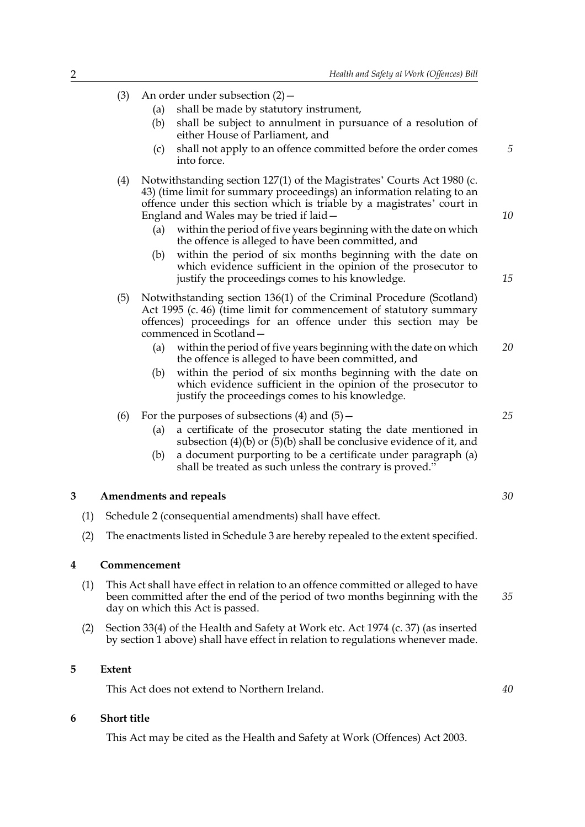- (3) An order under subsection (2)—
	- (a) shall be made by statutory instrument,
	- (b) shall be subject to annulment in pursuance of a resolution of either House of Parliament, and
	- (c) shall not apply to an offence committed before the order comes into force.
- (4) Notwithstanding section 127(1) of the Magistrates' Courts Act 1980 (c. 43) (time limit for summary proceedings) an information relating to an offence under this section which is triable by a magistrates' court in England and Wales may be tried if laid—
	- (a) within the period of five years beginning with the date on which the offence is alleged to have been committed, and
	- (b) within the period of six months beginning with the date on which evidence sufficient in the opinion of the prosecutor to justify the proceedings comes to his knowledge.
- (5) Notwithstanding section 136(1) of the Criminal Procedure (Scotland) Act 1995 (c. 46) (time limit for commencement of statutory summary offences) proceedings for an offence under this section may be commenced in Scotland—
	- (a) within the period of five years beginning with the date on which the offence is alleged to have been committed, and *20*
	- (b) within the period of six months beginning with the date on which evidence sufficient in the opinion of the prosecutor to justify the proceedings comes to his knowledge.
- (6) For the purposes of subsections  $(4)$  and  $(5)$  -
	- (a) a certificate of the prosecutor stating the date mentioned in subsection (4)(b) or  $(5)(b)$  shall be conclusive evidence of it, and
	- (b) a document purporting to be a certificate under paragraph (a) shall be treated as such unless the contrary is proved."

#### **3 Amendments and repeals**

- (1) Schedule 2 (consequential amendments) shall have effect.
- (2) The enactments listed in Schedule 3 are hereby repealed to the extent specified.

#### **4 Commencement**

- (1) This Act shall have effect in relation to an offence committed or alleged to have been committed after the end of the period of two months beginning with the day on which this Act is passed. *35*
- (2) Section 33(4) of the Health and Safety at Work etc. Act 1974 (c. 37) (as inserted by section 1 above) shall have effect in relation to regulations whenever made.

#### **5 Extent**

This Act does not extend to Northern Ireland.

#### **6 Short title**

This Act may be cited as the Health and Safety at Work (Offences) Act 2003.

*25*

*5*

*10*

*15*

*30*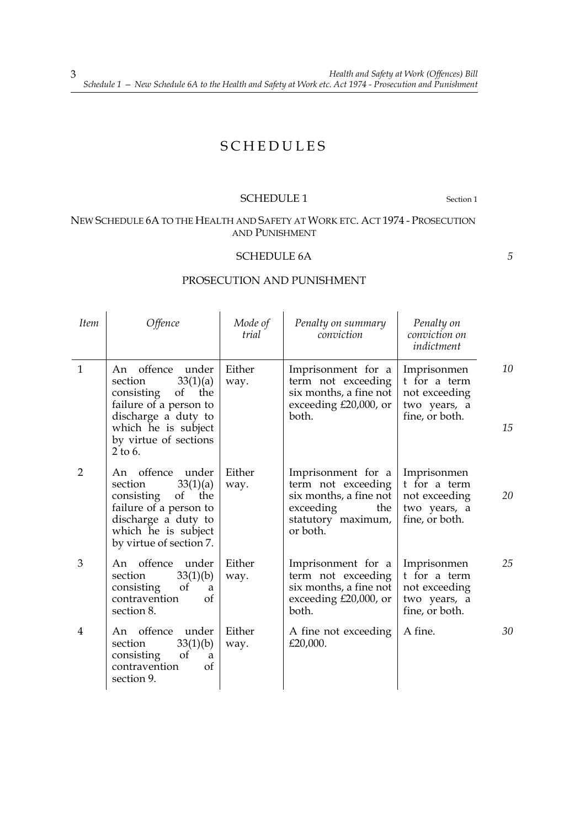# SCHEDULES

#### SCHEDULE 1 Section 1

# NEW SCHEDULE 6A TO THE HEALTH AND SAFETY AT WORK ETC. ACT 1974 - PROSECUTION AND PUNISHMENT

## SCHEDULE 6A

*5*

## PROSECUTION AND PUNISHMENT

| <i>Item</i>    | <i>Offence</i>                                                                                                                                                                    | Mode of<br>trial | Penalty on summary<br>conviction                                                                                         | Penalty on<br>conviction on<br>indictment                                      |          |
|----------------|-----------------------------------------------------------------------------------------------------------------------------------------------------------------------------------|------------------|--------------------------------------------------------------------------------------------------------------------------|--------------------------------------------------------------------------------|----------|
| $\mathbf{1}$   | offence under<br>An<br>33(1)(a)<br>section<br>consisting<br>of<br>the<br>failure of a person to<br>discharge a duty to<br>which he is subject<br>by virtue of sections<br>2 to 6. | Either<br>way.   | Imprisonment for a<br>term not exceeding<br>six months, a fine not<br>exceeding £20,000, or<br>both.                     | Imprisonmen<br>t for a term<br>not exceeding<br>two years, a<br>fine, or both. | 10<br>15 |
| $\overline{2}$ | An offence under<br>33(1)(a)<br>section<br>of<br>consisting<br>the<br>failure of a person to<br>discharge a duty to<br>which he is subject<br>by virtue of section 7.             | Either<br>way.   | Imprisonment for a<br>term not exceeding<br>six months, a fine not<br>exceeding<br>the<br>statutory maximum,<br>or both. | Imprisonmen<br>t for a term<br>not exceeding<br>two years, a<br>fine, or both. | 20       |
| 3              | An offence under<br>33(1)(b)<br>section<br>consisting<br>of<br>a<br>contravention<br>of<br>section 8.                                                                             | Either<br>way.   | Imprisonment for a<br>term not exceeding<br>six months, a fine not<br>exceeding $£20,000$ , or<br>both.                  | Imprisonmen<br>t for a term<br>not exceeding<br>two years, a<br>fine, or both. | 25       |
| 4              | An offence under<br>section<br>33(1)(b)<br>consisting<br><sub>of</sub><br>a<br>contravention<br>of<br>section 9.                                                                  | Either<br>way.   | A fine not exceeding<br>£20,000.                                                                                         | A fine.                                                                        | 30       |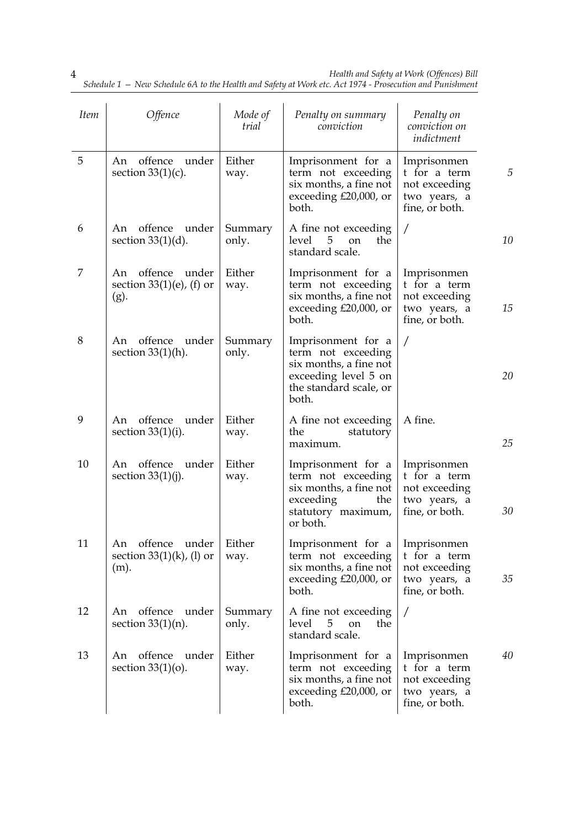| <b>Item</b> | <i>Offence</i>                                                | Mode of<br>trial | Penalty on summary<br>conviction                                                                                              | Penalty on<br>conviction on<br>indictment                                      |    |
|-------------|---------------------------------------------------------------|------------------|-------------------------------------------------------------------------------------------------------------------------------|--------------------------------------------------------------------------------|----|
| 5           | An offence under<br>section $33(1)(c)$ .                      | Either<br>way.   | Imprisonment for a<br>term not exceeding<br>six months, a fine not<br>exceeding £20,000, or<br>both.                          | Imprisonmen<br>t for a term<br>not exceeding<br>two years, a<br>fine, or both. | 5  |
| 6           | offence<br>under<br>An<br>section $33(1)(d)$ .                | Summary<br>only. | A fine not exceeding<br>5<br>the<br>level<br><sub>on</sub><br>standard scale.                                                 | /                                                                              | 10 |
| 7           | An offence under<br>section $33(1)(e)$ , (f) or<br>(g).       | Either<br>way.   | Imprisonment for a<br>term not exceeding<br>six months, a fine not<br>exceeding £20,000, or<br>both.                          | Imprisonmen<br>t for a term<br>not exceeding<br>two years, a<br>fine, or both. | 15 |
| 8           | An offence under<br>section $33(1)(h)$ .                      | Summary<br>only. | Imprisonment for a<br>term not exceeding<br>six months, a fine not<br>exceeding level 5 on<br>the standard scale, or<br>both. | Τ                                                                              | 20 |
| 9           | offence under<br>An<br>section $33(1)(i)$ .                   | Either<br>way.   | A fine not exceeding<br>the<br>statutory<br>maximum.                                                                          | A fine.                                                                        | 25 |
| 10          | An offence under<br>section $33(1)(j)$ .                      | Either<br>way.   | Imprisonment for a<br>term not exceeding<br>six months, a fine not<br>exceeding<br>the<br>statutory maximum,<br>or both.      | Imprisonmen<br>t for a term<br>not exceeding<br>two years, a<br>fine, or both. | 30 |
| 11          | offence under<br>An<br>section $33(1)(k)$ , (l) or<br>$(m)$ . | Either<br>way.   | Imprisonment for a<br>term not exceeding<br>six months, a fine not<br>exceeding $£20,000$ , or<br>both.                       | Imprisonmen<br>t for a term<br>not exceeding<br>two years, a<br>fine, or both. | 35 |
| 12          | offence<br>under<br>An<br>section $33(1)(n)$ .                | Summary<br>only. | A fine not exceeding<br>5<br>level<br>the<br>on<br>standard scale.                                                            | /                                                                              |    |
| 13          | offence<br>under<br>An<br>section $33(1)(o)$ .                | Either<br>way.   | Imprisonment for a<br>term not exceeding<br>six months, a fine not<br>exceeding $£20,000$ , or<br>both.                       | Imprisonmen<br>t for a term<br>not exceeding<br>two years, a<br>fine, or both. | 40 |

*Health and Safety at Work (Offences) Bill Schedule 1 — New Schedule 6A to the Health and Safety at Work etc. Act 1974 - Prosecution and Punishment*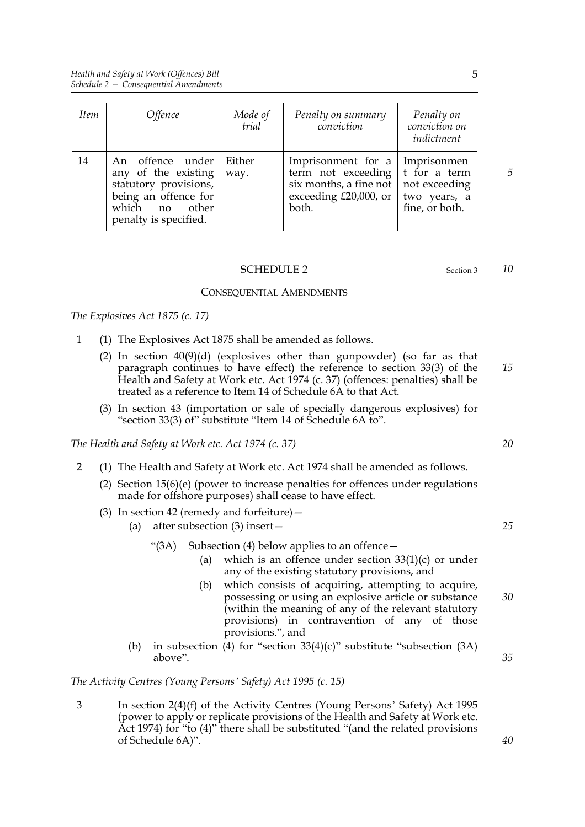| <i>Item</i> | <i>Offence</i>                                                                                                                         | Mode of<br>trial | Penalty on summary<br>conviction                                                                                   | Penalty on<br>conviction on<br>indictment                       |
|-------------|----------------------------------------------------------------------------------------------------------------------------------------|------------------|--------------------------------------------------------------------------------------------------------------------|-----------------------------------------------------------------|
| 14          | An offence under<br>any of the existing<br>statutory provisions,<br>being an offence for<br>which no<br>other<br>penalty is specified. | Either<br>way.   | Imprisonment for a   Imprisonmen<br>term not exceeding<br>six months, a fine not<br>exceeding £20,000, or<br>both. | t for a term<br>not exceeding<br>two years, a<br>fine, or both. |

#### SCHEDULE 2 Section 3

#### CONSEQUENTIAL AMENDMENTS

*The Explosives Act 1875 (c. 17)*

- 1 (1) The Explosives Act 1875 shall be amended as follows.
	- (2) In section 40(9)(d) (explosives other than gunpowder) (so far as that paragraph continues to have effect) the reference to section 33(3) of the Health and Safety at Work etc. Act 1974 (c. 37) (offences: penalties) shall be treated as a reference to Item 14 of Schedule 6A to that Act. *15*
	- (3) In section 43 (importation or sale of specially dangerous explosives) for "section 33(3) of" substitute "Item 14 of Schedule 6A to".

*The Health and Safety at Work etc. Act 1974 (c. 37)*

- 2 (1) The Health and Safety at Work etc. Act 1974 shall be amended as follows.
	- (2) Section 15(6)(e) (power to increase penalties for offences under regulations made for offshore purposes) shall cease to have effect.
	- (3) In section 42 (remedy and forfeiture)—
		- (a) after subsection (3) insert—

#### " $(3A)$  Subsection  $(4)$  below applies to an offence —

- (a) which is an offence under section  $33(1)(c)$  or under any of the existing statutory provisions, and
- (b) which consists of acquiring, attempting to acquire, possessing or using an explosive article or substance (within the meaning of any of the relevant statutory provisions) in contravention of any of those provisions.", and *30*
- (b) in subsection (4) for "section  $33(4)(c)$ " substitute "subsection  $(3A)$ above".

*The Activity Centres (Young Persons' Safety) Act 1995 (c. 15)*

3 In section 2(4)(f) of the Activity Centres (Young Persons' Safety) Act 1995 (power to apply or replicate provisions of the Health and Safety at Work etc. Act 1974) for "to (4)" there shall be substituted "(and the related provisions of Schedule 6A)".

*5*

*10*

*20*

*25*

*35*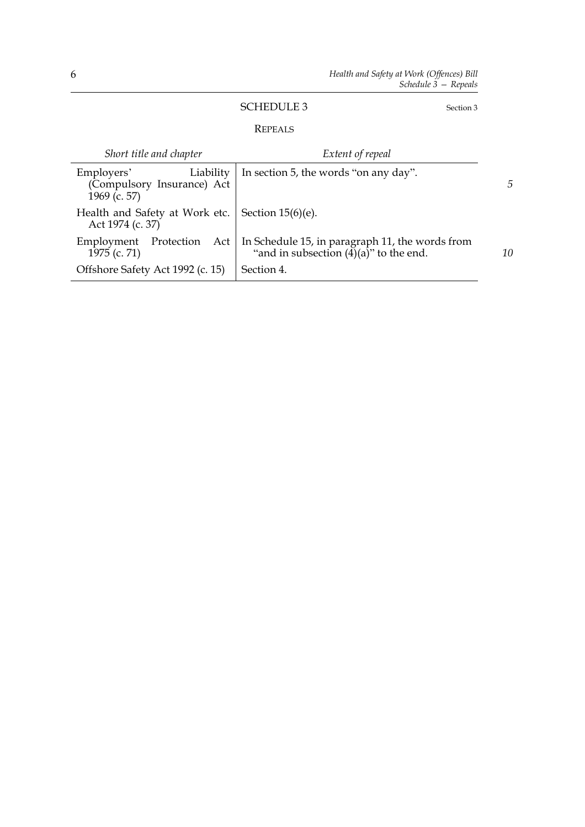# SCHEDULE 3 Section 3

## REPEALS

| Short title and chapter                                               | Extent of repeal                                                                                        |    |
|-----------------------------------------------------------------------|---------------------------------------------------------------------------------------------------------|----|
| Liability<br>Employers'<br>(Compulsory Insurance) Act<br>1969 (c. 57) | In section 5, the words "on any day".                                                                   | 5  |
| Health and Safety at Work etc.<br>Act 1974 (c. 37)                    | Section $15(6)(e)$ .                                                                                    |    |
| Protection Act<br>Employment<br>1975 (c. 71)                          | In Schedule 15, in paragraph 11, the words from<br>"and in subsection $(\overline{4})(a)$ " to the end. | 10 |
| Offshore Safety Act 1992 (c. 15)                                      | Section 4.                                                                                              |    |